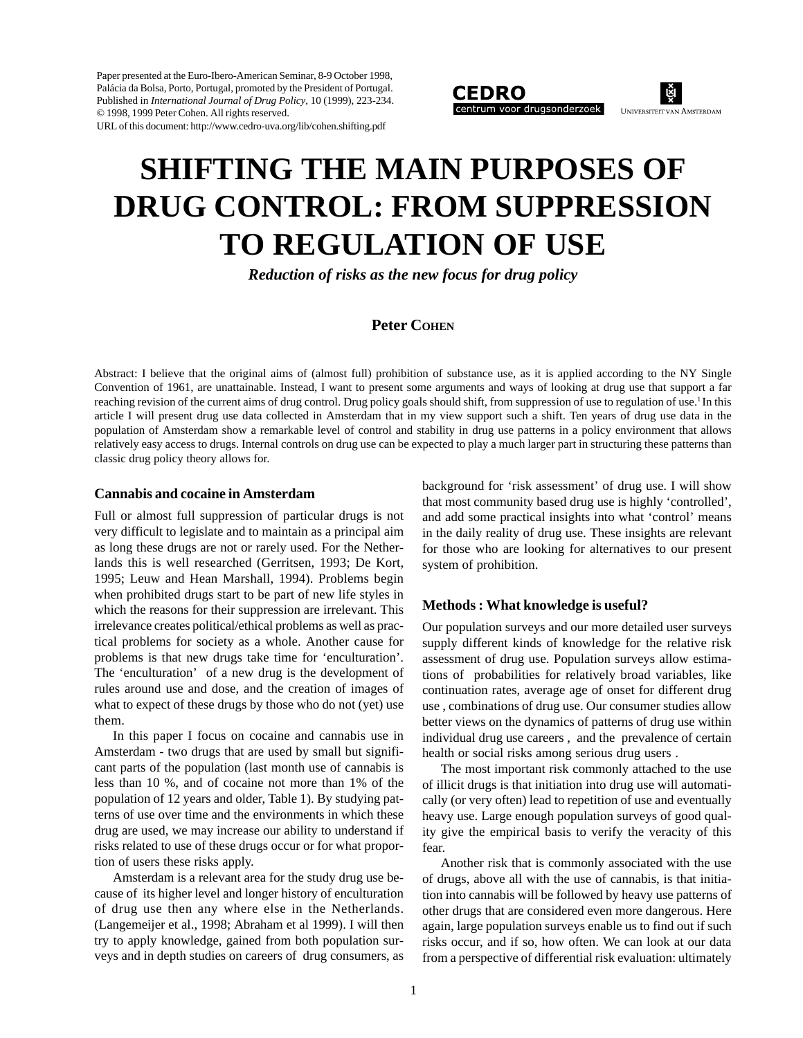Paper presented at the Euro-Ibero-American Seminar, 8-9 October 1998, Palácia da Bolsa, Porto, Portugal, promoted by the President of Portugal. Published in *International Journal of Drug Policy*, 10 (1999), 223-234. © 1998, 1999 Peter Cohen. All rights reserved. URL of this document: http://www.cedro-uva.org/lib/cohen.shifting.pdf



હો

# **SHIFTING THE MAIN PURPOSES OF DRUG CONTROL: FROM SUPPRESSION TO REGULATION OF USE**

*Reduction of risks as the new focus for drug policy*

# **Peter COHEN**

Abstract: I believe that the original aims of (almost full) prohibition of substance use, as it is applied according to the NY Single Convention of 1961, are unattainable. Instead, I want to present some arguments and ways of looking at drug use that support a far reaching revision of the current aims of drug control. Drug policy goals should shift, from suppression of use to regulation of use.<sup>1</sup> In this article I will present drug use data collected in Amsterdam that in my view support such a shift. Ten years of drug use data in the population of Amsterdam show a remarkable level of control and stability in drug use patterns in a policy environment that allows relatively easy access to drugs. Internal controls on drug use can be expected to play a much larger part in structuring these patterns than classic drug policy theory allows for.

### **Cannabis and cocaine in Amsterdam**

Full or almost full suppression of particular drugs is not very difficult to legislate and to maintain as a principal aim as long these drugs are not or rarely used. For the Netherlands this is well researched (Gerritsen, 1993; De Kort, 1995; Leuw and Hean Marshall, 1994). Problems begin when prohibited drugs start to be part of new life styles in which the reasons for their suppression are irrelevant. This irrelevance creates political/ethical problems as well as practical problems for society as a whole. Another cause for problems is that new drugs take time for 'enculturation'. The 'enculturation' of a new drug is the development of rules around use and dose, and the creation of images of what to expect of these drugs by those who do not (yet) use them.

In this paper I focus on cocaine and cannabis use in Amsterdam - two drugs that are used by small but significant parts of the population (last month use of cannabis is less than 10 %, and of cocaine not more than 1% of the population of 12 years and older, Table 1). By studying patterns of use over time and the environments in which these drug are used, we may increase our ability to understand if risks related to use of these drugs occur or for what proportion of users these risks apply.

Amsterdam is a relevant area for the study drug use because of its higher level and longer history of enculturation of drug use then any where else in the Netherlands. (Langemeijer et al., 1998; Abraham et al 1999). I will then try to apply knowledge, gained from both population surveys and in depth studies on careers of drug consumers, as

background for 'risk assessment' of drug use. I will show that most community based drug use is highly 'controlled', and add some practical insights into what 'control' means in the daily reality of drug use. These insights are relevant for those who are looking for alternatives to our present system of prohibition.

### **Methods : What knowledge is useful?**

Our population surveys and our more detailed user surveys supply different kinds of knowledge for the relative risk assessment of drug use. Population surveys allow estimations of probabilities for relatively broad variables, like continuation rates, average age of onset for different drug use , combinations of drug use. Our consumer studies allow better views on the dynamics of patterns of drug use within individual drug use careers , and the prevalence of certain health or social risks among serious drug users .

The most important risk commonly attached to the use of illicit drugs is that initiation into drug use will automatically (or very often) lead to repetition of use and eventually heavy use. Large enough population surveys of good quality give the empirical basis to verify the veracity of this fear.

Another risk that is commonly associated with the use of drugs, above all with the use of cannabis, is that initiation into cannabis will be followed by heavy use patterns of other drugs that are considered even more dangerous. Here again, large population surveys enable us to find out if such risks occur, and if so, how often. We can look at our data from a perspective of differential risk evaluation: ultimately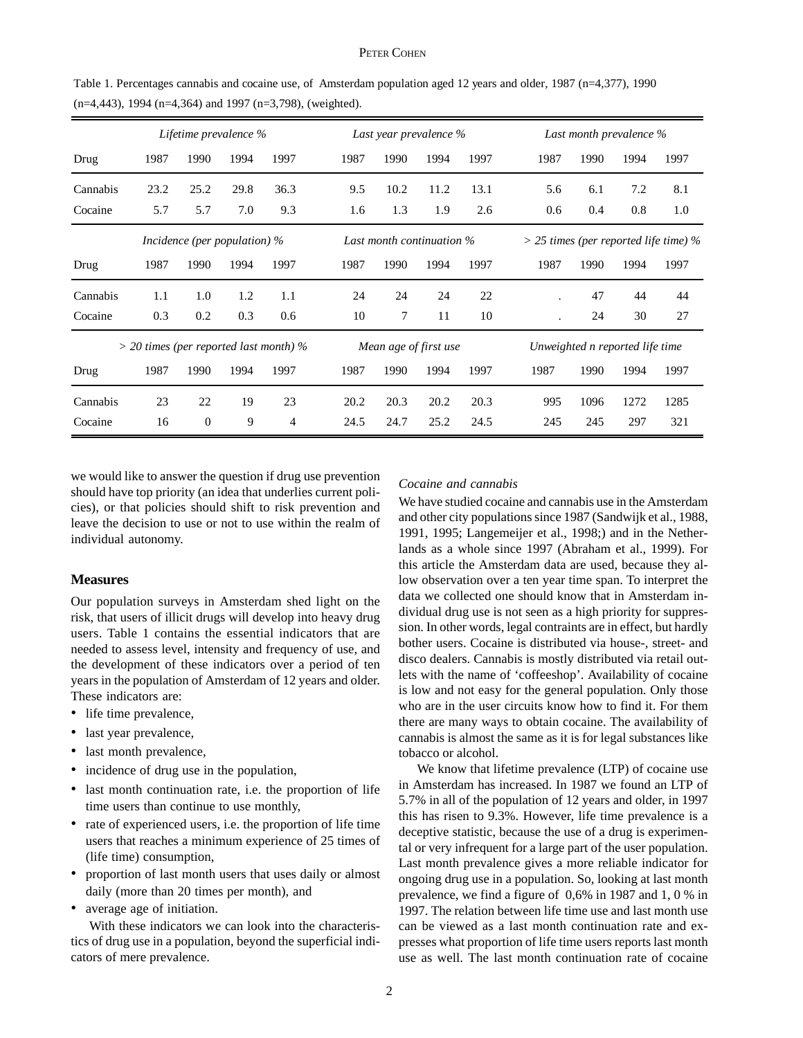#### PETER COHEN

Table 1. Percentages cannabis and cocaine use, of Amsterdam population aged 12 years and older, 1987 (n=4,377), 1990 (n=4,443), 1994 (n=4,364) and 1997 (n=3,798), (weighted).

|          | Lifetime prevalence %                    |                |      | Last year prevalence % |                           |      |      |                                 | Last month prevalence %                 |      |      |      |
|----------|------------------------------------------|----------------|------|------------------------|---------------------------|------|------|---------------------------------|-----------------------------------------|------|------|------|
| Drug     | 1987                                     | 1990           | 1994 | 1997                   | 1987                      | 1990 | 1994 | 1997                            | 1987                                    | 1990 | 1994 | 1997 |
| Cannabis | 23.2                                     | 25.2           | 29.8 | 36.3                   | 9.5                       | 10.2 | 11.2 | 13.1                            | 5.6                                     | 6.1  | 7.2  | 8.1  |
| Cocaine  | 5.7                                      | 5.7            | 7.0  | 9.3                    | 1.6                       | 1.3  | 1.9  | 2.6                             | 0.6                                     | 0.4  | 0.8  | 1.0  |
|          | Incidence (per population) $%$           |                |      |                        | Last month continuation % |      |      |                                 | $>$ 25 times (per reported life time) % |      |      |      |
| Drug     | 1987                                     | 1990           | 1994 | 1997                   | 1987                      | 1990 | 1994 | 1997                            | 1987                                    | 1990 | 1994 | 1997 |
| Cannabis | 1.1                                      | 1.0            | 1.2  | 1.1                    | 24                        | 24   | 24   | 22                              |                                         | 47   | 44   | 44   |
| Cocaine  | 0.3                                      | 0.2            | 0.3  | 0.6                    | 10                        | 7    | 11   | 10                              |                                         | 24   | 30   | 27   |
|          | $>$ 20 times (per reported last month) % |                |      | Mean age of first use  |                           |      |      | Unweighted n reported life time |                                         |      |      |      |
| Drug     | 1987                                     | 1990           | 1994 | 1997                   | 1987                      | 1990 | 1994 | 1997                            | 1987                                    | 1990 | 1994 | 1997 |
| Cannabis | 23                                       | 22             | 19   | 23                     | 20.2                      | 20.3 | 20.2 | 20.3                            | 995                                     | 1096 | 1272 | 1285 |
| Cocaine  | 16                                       | $\overline{0}$ | 9    | 4                      | 24.5                      | 24.7 | 25.2 | 24.5                            | 245                                     | 245  | 297  | 321  |

we would like to answer the question if drug use prevention should have top priority (an idea that underlies current policies), or that policies should shift to risk prevention and leave the decision to use or not to use within the realm of individual autonomy.

#### **Measures**

Our population surveys in Amsterdam shed light on the risk, that users of illicit drugs will develop into heavy drug users. Table 1 contains the essential indicators that are needed to assess level, intensity and frequency of use, and the development of these indicators over a period of ten years in the population of Amsterdam of 12 years and older. These indicators are:

- life time prevalence,
- last year prevalence,
- last month prevalence,
- incidence of drug use in the population,
- last month continuation rate, i.e. the proportion of life time users than continue to use monthly,
- rate of experienced users, i.e. the proportion of life time users that reaches a minimum experience of 25 times of (life time) consumption,
- proportion of last month users that uses daily or almost daily (more than 20 times per month), and
- average age of initiation.

With these indicators we can look into the characteristics of drug use in a population, beyond the superficial indicators of mere prevalence.

#### *Cocaine and cannabis*

We have studied cocaine and cannabis use in the Amsterdam and other city populations since 1987 (Sandwijk et al., 1988, 1991, 1995; Langemeijer et al., 1998;) and in the Netherlands as a whole since 1997 (Abraham et al., 1999). For this article the Amsterdam data are used, because they allow observation over a ten year time span. To interpret the data we collected one should know that in Amsterdam individual drug use is not seen as a high priority for suppression. In other words, legal contraints are in effect, but hardly bother users. Cocaine is distributed via house-, street- and disco dealers. Cannabis is mostly distributed via retail outlets with the name of 'coffeeshop'. Availability of cocaine is low and not easy for the general population. Only those who are in the user circuits know how to find it. For them there are many ways to obtain cocaine. The availability of cannabis is almost the same as it is for legal substances like tobacco or alcohol.

We know that lifetime prevalence (LTP) of cocaine use in Amsterdam has increased. In 1987 we found an LTP of 5.7% in all of the population of 12 years and older, in 1997 this has risen to 9.3%. However, life time prevalence is a deceptive statistic, because the use of a drug is experimental or very infrequent for a large part of the user population. Last month prevalence gives a more reliable indicator for ongoing drug use in a population. So, looking at last month prevalence, we find a figure of 0,6% in 1987 and 1, 0 % in 1997. The relation between life time use and last month use can be viewed as a last month continuation rate and expresses what proportion of life time users reports last month use as well. The last month continuation rate of cocaine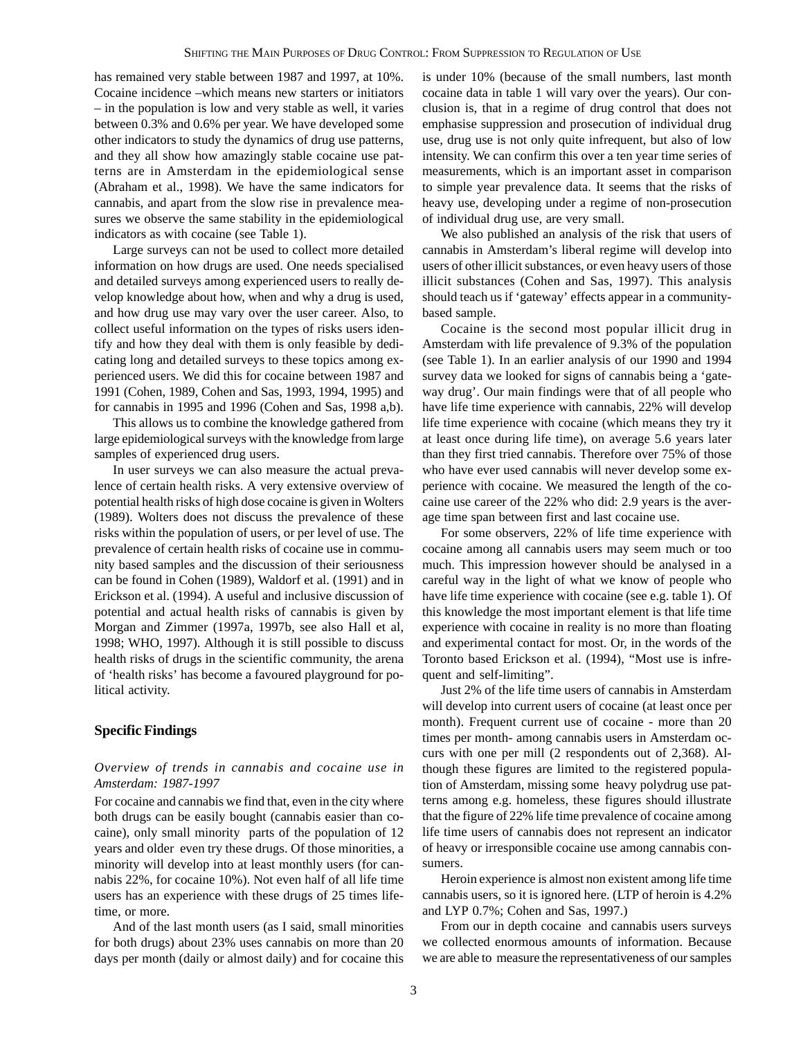has remained very stable between 1987 and 1997, at 10%. Cocaine incidence –which means new starters or initiators – in the population is low and very stable as well, it varies between 0.3% and 0.6% per year. We have developed some other indicators to study the dynamics of drug use patterns, and they all show how amazingly stable cocaine use patterns are in Amsterdam in the epidemiological sense (Abraham et al., 1998). We have the same indicators for cannabis, and apart from the slow rise in prevalence measures we observe the same stability in the epidemiological indicators as with cocaine (see Table 1).

Large surveys can not be used to collect more detailed information on how drugs are used. One needs specialised and detailed surveys among experienced users to really develop knowledge about how, when and why a drug is used, and how drug use may vary over the user career. Also, to collect useful information on the types of risks users identify and how they deal with them is only feasible by dedicating long and detailed surveys to these topics among experienced users. We did this for cocaine between 1987 and 1991 (Cohen, 1989, Cohen and Sas, 1993, 1994, 1995) and for cannabis in 1995 and 1996 (Cohen and Sas, 1998 a,b).

This allows us to combine the knowledge gathered from large epidemiological surveys with the knowledge from large samples of experienced drug users.

In user surveys we can also measure the actual prevalence of certain health risks. A very extensive overview of potential health risks of high dose cocaine is given in Wolters (1989). Wolters does not discuss the prevalence of these risks within the population of users, or per level of use. The prevalence of certain health risks of cocaine use in community based samples and the discussion of their seriousness can be found in Cohen (1989), Waldorf et al. (1991) and in Erickson et al. (1994). A useful and inclusive discussion of potential and actual health risks of cannabis is given by Morgan and Zimmer (1997a, 1997b, see also Hall et al, 1998; WHO, 1997). Although it is still possible to discuss health risks of drugs in the scientific community, the arena of 'health risks' has become a favoured playground for political activity.

### **Specific Findings**

### *Overview of trends in cannabis and cocaine use in Amsterdam: 1987-1997*

For cocaine and cannabis we find that, even in the city where both drugs can be easily bought (cannabis easier than cocaine), only small minority parts of the population of 12 years and older even try these drugs. Of those minorities, a minority will develop into at least monthly users (for cannabis 22%, for cocaine 10%). Not even half of all life time users has an experience with these drugs of 25 times lifetime, or more.

And of the last month users (as I said, small minorities for both drugs) about 23% uses cannabis on more than 20 days per month (daily or almost daily) and for cocaine this is under 10% (because of the small numbers, last month cocaine data in table 1 will vary over the years). Our conclusion is, that in a regime of drug control that does not emphasise suppression and prosecution of individual drug use, drug use is not only quite infrequent, but also of low intensity. We can confirm this over a ten year time series of measurements, which is an important asset in comparison to simple year prevalence data. It seems that the risks of heavy use, developing under a regime of non-prosecution of individual drug use, are very small.

We also published an analysis of the risk that users of cannabis in Amsterdam's liberal regime will develop into users of other illicit substances, or even heavy users of those illicit substances (Cohen and Sas, 1997). This analysis should teach us if 'gateway' effects appear in a communitybased sample.

Cocaine is the second most popular illicit drug in Amsterdam with life prevalence of 9.3% of the population (see Table 1). In an earlier analysis of our 1990 and 1994 survey data we looked for signs of cannabis being a 'gateway drug'. Our main findings were that of all people who have life time experience with cannabis, 22% will develop life time experience with cocaine (which means they try it at least once during life time), on average 5.6 years later than they first tried cannabis. Therefore over 75% of those who have ever used cannabis will never develop some experience with cocaine. We measured the length of the cocaine use career of the 22% who did: 2.9 years is the average time span between first and last cocaine use.

For some observers, 22% of life time experience with cocaine among all cannabis users may seem much or too much. This impression however should be analysed in a careful way in the light of what we know of people who have life time experience with cocaine (see e.g. table 1). Of this knowledge the most important element is that life time experience with cocaine in reality is no more than floating and experimental contact for most. Or, in the words of the Toronto based Erickson et al. (1994), "Most use is infrequent and self-limiting".

Just 2% of the life time users of cannabis in Amsterdam will develop into current users of cocaine (at least once per month). Frequent current use of cocaine - more than 20 times per month- among cannabis users in Amsterdam occurs with one per mill (2 respondents out of 2,368). Although these figures are limited to the registered population of Amsterdam, missing some heavy polydrug use patterns among e.g. homeless, these figures should illustrate that the figure of 22% life time prevalence of cocaine among life time users of cannabis does not represent an indicator of heavy or irresponsible cocaine use among cannabis consumers.

Heroin experience is almost non existent among life time cannabis users, so it is ignored here. (LTP of heroin is 4.2% and LYP 0.7%; Cohen and Sas, 1997.)

From our in depth cocaine and cannabis users surveys we collected enormous amounts of information. Because we are able to measure the representativeness of our samples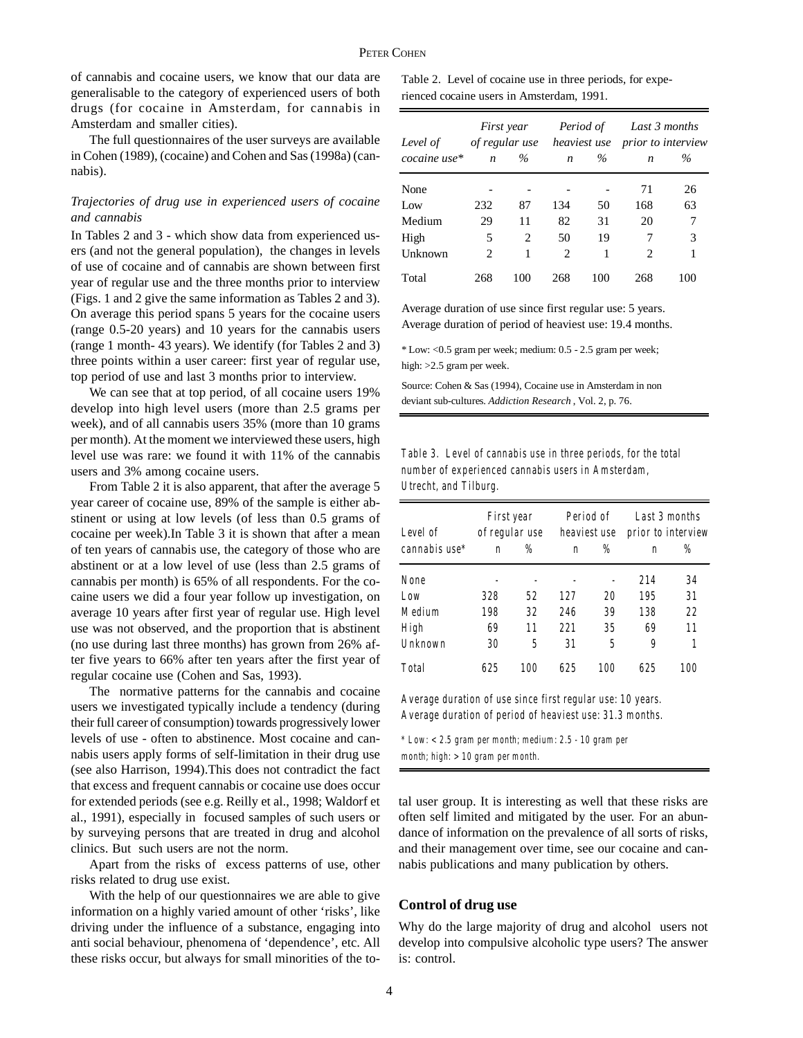of cannabis and cocaine users, we know that our data are generalisable to the category of experienced users of both drugs (for cocaine in Amsterdam, for cannabis in Amsterdam and smaller cities).

The full questionnaires of the user surveys are available in Cohen (1989), (cocaine) and Cohen and Sas (1998a) (cannabis).

# *Trajectories of drug use in experienced users of cocaine and cannabis*

In Tables 2 and 3 - which show data from experienced users (and not the general population), the changes in levels of use of cocaine and of cannabis are shown between first year of regular use and the three months prior to interview (Figs. 1 and 2 give the same information as Tables 2 and 3). On average this period spans 5 years for the cocaine users (range 0.5-20 years) and 10 years for the cannabis users (range 1 month- 43 years). We identify (for Tables 2 and 3) three points within a user career: first year of regular use, top period of use and last 3 months prior to interview.

We can see that at top period, of all cocaine users 19% develop into high level users (more than 2.5 grams per week), and of all cannabis users 35% (more than 10 grams per month). At the moment we interviewed these users, high level use was rare: we found it with 11% of the cannabis users and 3% among cocaine users.

From Table 2 it is also apparent, that after the average 5 year career of cocaine use, 89% of the sample is either abstinent or using at low levels (of less than 0.5 grams of cocaine per week).In Table 3 it is shown that after a mean of ten years of cannabis use, the category of those who are abstinent or at a low level of use (less than 2.5 grams of cannabis per month) is 65% of all respondents. For the cocaine users we did a four year follow up investigation, on average 10 years after first year of regular use. High level use was not observed, and the proportion that is abstinent (no use during last three months) has grown from 26% after five years to 66% after ten years after the first year of regular cocaine use (Cohen and Sas, 1993).

The normative patterns for the cannabis and cocaine users we investigated typically include a tendency (during their full career of consumption) towards progressively lower levels of use - often to abstinence. Most cocaine and cannabis users apply forms of self-limitation in their drug use (see also Harrison, 1994).This does not contradict the fact that excess and frequent cannabis or cocaine use does occur for extended periods (see e.g. Reilly et al., 1998; Waldorf et al., 1991), especially in focused samples of such users or by surveying persons that are treated in drug and alcohol clinics. But such users are not the norm.

Apart from the risks of excess patterns of use, other risks related to drug use exist.

With the help of our questionnaires we are able to give information on a highly varied amount of other 'risks', like driving under the influence of a substance, engaging into anti social behaviour, phenomena of 'dependence', etc. All these risks occur, but always for small minorities of the to-

Table 2. Level of cocaine use in three periods, for experienced cocaine users in Amsterdam, 1991.

| Level of     |                             | First year |     | Period of | Last 3 months<br>of regular use heaviest use prior to interview |      |  |
|--------------|-----------------------------|------------|-----|-----------|-----------------------------------------------------------------|------|--|
| cocaine use* | $\boldsymbol{n}$            | $\%$       | n   | $\%$      | n                                                               | $\%$ |  |
| None         |                             |            |     |           | 71                                                              | 26   |  |
| Low          | 232                         | 87         | 134 | 50        | 168                                                             | 63   |  |
| Medium       | 29                          | 11         | 82  | 31        | 20                                                              | 7    |  |
| High         | 5                           | 2          | 50  | 19        | 7                                                               | 3    |  |
| Unknown      | $\mathcal{D}_{\mathcal{A}}$ | 1          | 2   | 1         | 2                                                               | 1    |  |
| Total        | 268                         | 100        | 268 | 100       | 268                                                             | 100  |  |

Average duration of use since first regular use: 5 years. Average duration of period of heaviest use: 19.4 months.

\* Low: <0.5 gram per week; medium: 0.5 - 2.5 gram per week; high: >2.5 gram per week.

Source: Cohen & Sas (1994), Cocaine use in Amsterdam in non deviant sub-cultures. *Addiction Research* , Vol. 2, p. 76.

Table 3. Level of cannabis use in three periods, for the total number of ex perienced cannabis users in A msterdam, Utrecht, and Tilburg.

| Level of      | of regular use | First year |     | Period of<br>heaviest use | Last 3 months<br>prior to interview |     |  |
|---------------|----------------|------------|-----|---------------------------|-------------------------------------|-----|--|
| cannabis use* | $\eta$         | %          | n   | %                         | $\eta$                              | %   |  |
| None          |                |            |     |                           | 214                                 | 34  |  |
| Low           | 328            | 52         | 127 | 20                        | 195                                 | 31  |  |
| Medium        | 198            | 32         | 246 | 39                        | 138                                 | 22  |  |
| High          | 69             | 11         | 221 | 35                        | 69                                  | 11  |  |
| Unknown       | 30             | 5          | 31  | 5                         | 9                                   | 1   |  |
| Total         | 625            | 100        | 625 | 100                       | 625                                 | 100 |  |

A verage duration of use since first regular use: 10 years. A verage duration of period of heaviest use: 31.3 months.

 $*$  Low:  $< 2.5$  gram per month; medium:  $2.5 - 10$  gram per m onth; high: > 10 gram per month.

tal user group. It is interesting as well that these risks are often self limited and mitigated by the user. For an abundance of information on the prevalence of all sorts of risks, and their management over time, see our cocaine and cannabis publications and many publication by others.

#### **Control of drug use**

Why do the large majority of drug and alcohol users not develop into compulsive alcoholic type users? The answer is: control.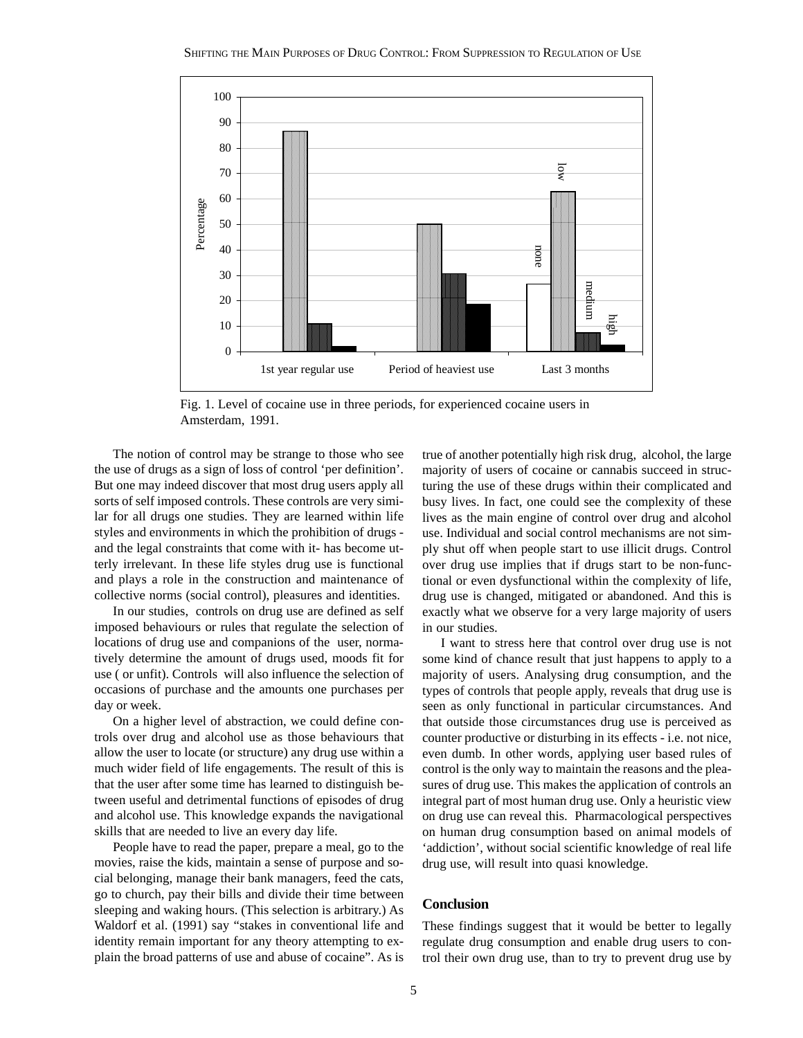



The notion of control may be strange to those who see the use of drugs as a sign of loss of control 'per definition'. But one may indeed discover that most drug users apply all sorts of self imposed controls. These controls are very similar for all drugs one studies. They are learned within life styles and environments in which the prohibition of drugs and the legal constraints that come with it- has become utterly irrelevant. In these life styles drug use is functional and plays a role in the construction and maintenance of collective norms (social control), pleasures and identities.

In our studies, controls on drug use are defined as self imposed behaviours or rules that regulate the selection of locations of drug use and companions of the user, normatively determine the amount of drugs used, moods fit for use ( or unfit). Controls will also influence the selection of occasions of purchase and the amounts one purchases per day or week.

On a higher level of abstraction, we could define controls over drug and alcohol use as those behaviours that allow the user to locate (or structure) any drug use within a much wider field of life engagements. The result of this is that the user after some time has learned to distinguish between useful and detrimental functions of episodes of drug and alcohol use. This knowledge expands the navigational skills that are needed to live an every day life.

People have to read the paper, prepare a meal, go to the movies, raise the kids, maintain a sense of purpose and social belonging, manage their bank managers, feed the cats, go to church, pay their bills and divide their time between sleeping and waking hours. (This selection is arbitrary.) As Waldorf et al. (1991) say "stakes in conventional life and identity remain important for any theory attempting to explain the broad patterns of use and abuse of cocaine". As is

true of another potentially high risk drug, alcohol, the large majority of users of cocaine or cannabis succeed in structuring the use of these drugs within their complicated and busy lives. In fact, one could see the complexity of these lives as the main engine of control over drug and alcohol use. Individual and social control mechanisms are not simply shut off when people start to use illicit drugs. Control over drug use implies that if drugs start to be non-functional or even dysfunctional within the complexity of life, drug use is changed, mitigated or abandoned. And this is exactly what we observe for a very large majority of users in our studies.

I want to stress here that control over drug use is not some kind of chance result that just happens to apply to a majority of users. Analysing drug consumption, and the types of controls that people apply, reveals that drug use is seen as only functional in particular circumstances. And that outside those circumstances drug use is perceived as counter productive or disturbing in its effects - i.e. not nice, even dumb. In other words, applying user based rules of control is the only way to maintain the reasons and the pleasures of drug use. This makes the application of controls an integral part of most human drug use. Only a heuristic view on drug use can reveal this. Pharmacological perspectives on human drug consumption based on animal models of 'addiction', without social scientific knowledge of real life drug use, will result into quasi knowledge.

## **Conclusion**

These findings suggest that it would be better to legally regulate drug consumption and enable drug users to control their own drug use, than to try to prevent drug use by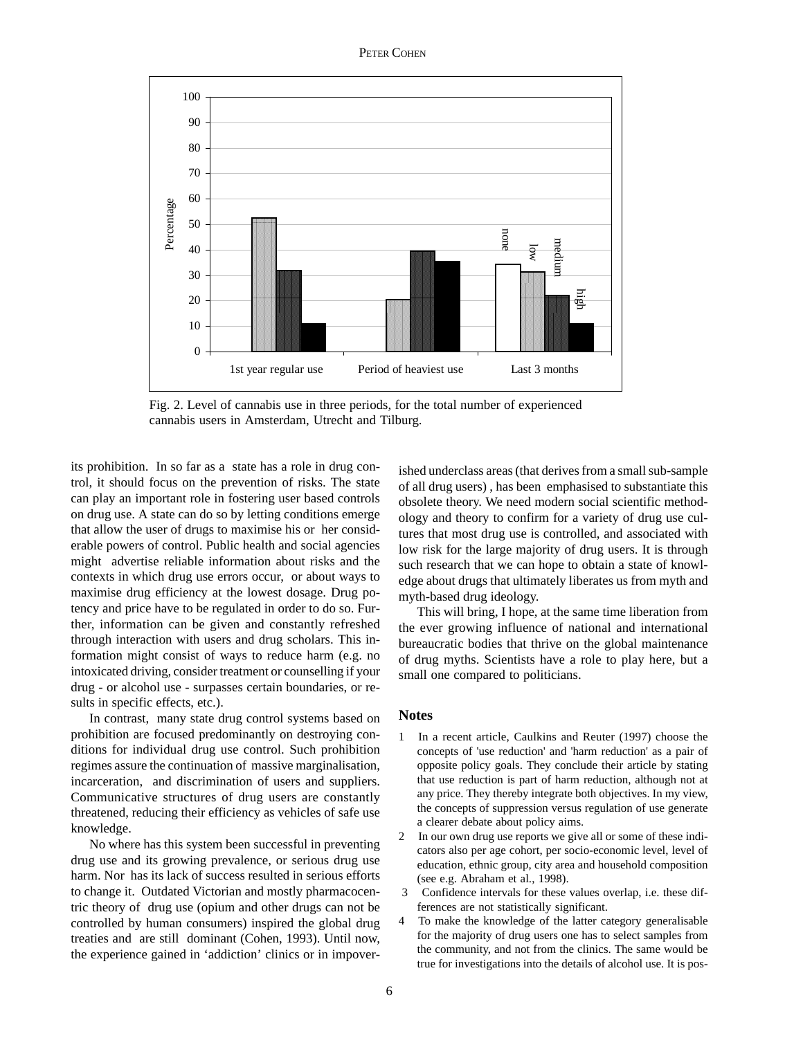

Fig. 2. Level of cannabis use in three periods, for the total number of experienced cannabis users in Amsterdam, Utrecht and Tilburg.

its prohibition. In so far as a state has a role in drug control, it should focus on the prevention of risks. The state can play an important role in fostering user based controls on drug use. A state can do so by letting conditions emerge that allow the user of drugs to maximise his or her considerable powers of control. Public health and social agencies might advertise reliable information about risks and the contexts in which drug use errors occur, or about ways to maximise drug efficiency at the lowest dosage. Drug potency and price have to be regulated in order to do so. Further, information can be given and constantly refreshed through interaction with users and drug scholars. This information might consist of ways to reduce harm (e.g. no intoxicated driving, consider treatment or counselling if your drug - or alcohol use - surpasses certain boundaries, or results in specific effects, etc.).

In contrast, many state drug control systems based on prohibition are focused predominantly on destroying conditions for individual drug use control. Such prohibition regimes assure the continuation of massive marginalisation, incarceration, and discrimination of users and suppliers. Communicative structures of drug users are constantly threatened, reducing their efficiency as vehicles of safe use knowledge.

No where has this system been successful in preventing drug use and its growing prevalence, or serious drug use harm. Nor has its lack of success resulted in serious efforts to change it. Outdated Victorian and mostly pharmacocentric theory of drug use (opium and other drugs can not be controlled by human consumers) inspired the global drug treaties and are still dominant (Cohen, 1993). Until now, the experience gained in 'addiction' clinics or in impoverished underclass areas (that derives from a small sub-sample of all drug users) , has been emphasised to substantiate this obsolete theory. We need modern social scientific methodology and theory to confirm for a variety of drug use cultures that most drug use is controlled, and associated with low risk for the large majority of drug users. It is through such research that we can hope to obtain a state of knowledge about drugs that ultimately liberates us from myth and myth-based drug ideology.

This will bring, I hope, at the same time liberation from the ever growing influence of national and international bureaucratic bodies that thrive on the global maintenance of drug myths. Scientists have a role to play here, but a small one compared to politicians.

#### **Notes**

- 1 In a recent article, Caulkins and Reuter (1997) choose the concepts of 'use reduction' and 'harm reduction' as a pair of opposite policy goals. They conclude their article by stating that use reduction is part of harm reduction, although not at any price. They thereby integrate both objectives. In my view, the concepts of suppression versus regulation of use generate a clearer debate about policy aims.
- 2 In our own drug use reports we give all or some of these indicators also per age cohort, per socio-economic level, level of education, ethnic group, city area and household composition (see e.g. Abraham et al., 1998).
- 3 Confidence intervals for these values overlap, i.e. these differences are not statistically significant.
- 4 To make the knowledge of the latter category generalisable for the majority of drug users one has to select samples from the community, and not from the clinics. The same would be true for investigations into the details of alcohol use. It is pos-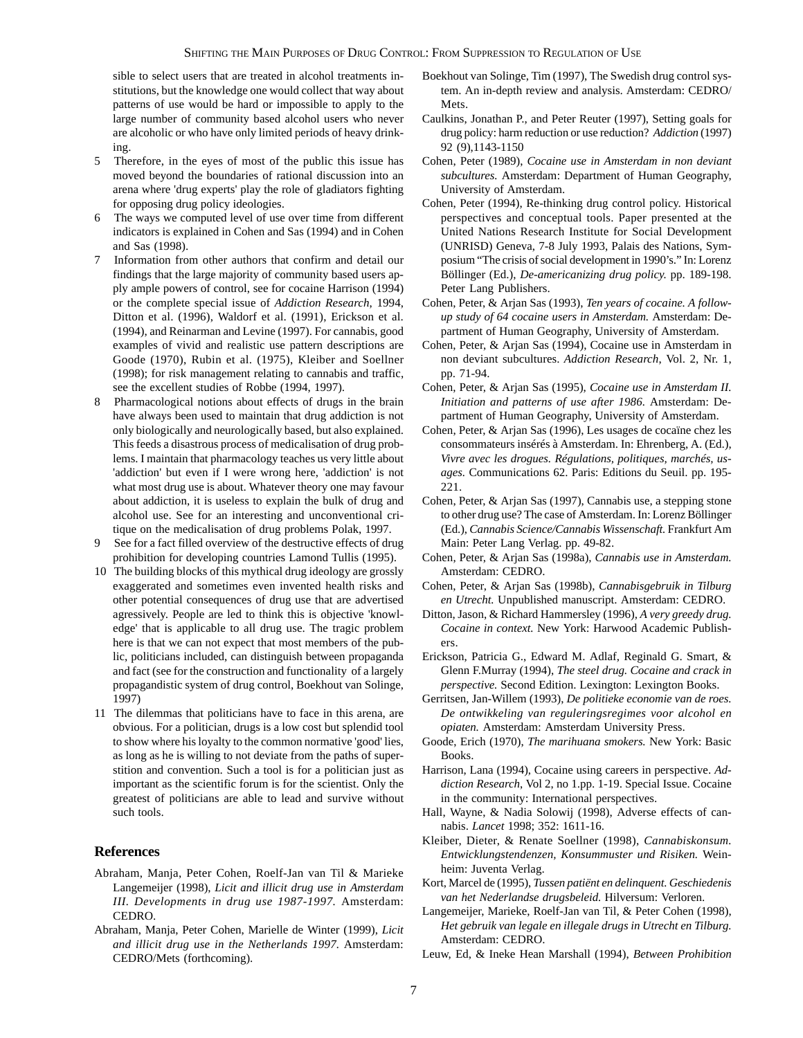sible to select users that are treated in alcohol treatments institutions, but the knowledge one would collect that way about patterns of use would be hard or impossible to apply to the large number of community based alcohol users who never are alcoholic or who have only limited periods of heavy drinking.

- 5 Therefore, in the eyes of most of the public this issue has moved beyond the boundaries of rational discussion into an arena where 'drug experts' play the role of gladiators fighting for opposing drug policy ideologies.
- 6 The ways we computed level of use over time from different indicators is explained in Cohen and Sas (1994) and in Cohen and Sas (1998).
- 7 Information from other authors that confirm and detail our findings that the large majority of community based users apply ample powers of control, see for cocaine Harrison (1994) or the complete special issue of *Addiction Research*, 1994, Ditton et al. (1996), Waldorf et al. (1991), Erickson et al. (1994), and Reinarman and Levine (1997). For cannabis, good examples of vivid and realistic use pattern descriptions are Goode (1970), Rubin et al. (1975), Kleiber and Soellner (1998); for risk management relating to cannabis and traffic, see the excellent studies of Robbe (1994, 1997).
- 8 Pharmacological notions about effects of drugs in the brain have always been used to maintain that drug addiction is not only biologically and neurologically based, but also explained. This feeds a disastrous process of medicalisation of drug problems. I maintain that pharmacology teaches us very little about 'addiction' but even if I were wrong here, 'addiction' is not what most drug use is about. Whatever theory one may favour about addiction, it is useless to explain the bulk of drug and alcohol use. See for an interesting and unconventional critique on the medicalisation of drug problems Polak, 1997.
- See for a fact filled overview of the destructive effects of drug prohibition for developing countries Lamond Tullis (1995).
- 10 The building blocks of this mythical drug ideology are grossly exaggerated and sometimes even invented health risks and other potential consequences of drug use that are advertised agressively. People are led to think this is objective 'knowledge' that is applicable to all drug use. The tragic problem here is that we can not expect that most members of the public, politicians included, can distinguish between propaganda and fact (see for the construction and functionality of a largely propagandistic system of drug control, Boekhout van Solinge, 1997)
- 11 The dilemmas that politicians have to face in this arena, are obvious. For a politician, drugs is a low cost but splendid tool to show where his loyalty to the common normative 'good' lies, as long as he is willing to not deviate from the paths of superstition and convention. Such a tool is for a politician just as important as the scientific forum is for the scientist. Only the greatest of politicians are able to lead and survive without such tools.

### **References**

- Abraham, Manja, Peter Cohen, Roelf-Jan van Til & Marieke Langemeijer (1998), *Licit and illicit drug use in Amsterdam III. Developments in drug use 1987-1997.* Amsterdam: CEDRO.
- Abraham, Manja, Peter Cohen, Marielle de Winter (1999), *Licit and illicit drug use in the Netherlands 1997.* Amsterdam: CEDRO/Mets (forthcoming).
- Boekhout van Solinge, Tim (1997), The Swedish drug control system. An in-depth review and analysis. Amsterdam: CEDRO/ Mets.
- Caulkins, Jonathan P., and Peter Reuter (1997), Setting goals for drug policy: harm reduction or use reduction? *Addiction* (1997) 92 (9),1143-1150
- Cohen, Peter (1989), *Cocaine use in Amsterdam in non deviant subcultures.* Amsterdam: Department of Human Geography, University of Amsterdam.
- Cohen, Peter (1994), Re-thinking drug control policy. Historical perspectives and conceptual tools. Paper presented at the United Nations Research Institute for Social Development (UNRISD) Geneva, 7-8 July 1993, Palais des Nations, Symposium "The crisis of social development in 1990's." In: Lorenz Böllinger (Ed.), *De-americanizing drug policy.* pp. 189-198. Peter Lang Publishers.
- Cohen, Peter, & Arjan Sas (1993), *Ten years of cocaine. A followup study of 64 cocaine users in Amsterdam.* Amsterdam: Department of Human Geography, University of Amsterdam.
- Cohen, Peter, & Arjan Sas (1994), Cocaine use in Amsterdam in non deviant subcultures. *Addiction Research*, Vol. 2, Nr. 1, pp. 71-94.
- Cohen, Peter, & Arjan Sas (1995), *Cocaine use in Amsterdam II. Initiation and patterns of use after 1986.* Amsterdam: Department of Human Geography, University of Amsterdam.
- Cohen, Peter, & Arjan Sas (1996), Les usages de cocaïne chez les consommateurs insérés à Amsterdam. In: Ehrenberg, A. (Ed.), *Vivre avec les drogues. Régulations, politiques, marchés, usages.* Communications 62. Paris: Editions du Seuil. pp. 195- 221.
- Cohen, Peter, & Arjan Sas (1997), Cannabis use, a stepping stone to other drug use? The case of Amsterdam. In: Lorenz Böllinger (Ed.), *Cannabis Science/Cannabis Wissenschaft.* Frankfurt Am Main: Peter Lang Verlag. pp. 49-82.
- Cohen, Peter, & Arjan Sas (1998a), *Cannabis use in Amsterdam.* Amsterdam: CEDRO.
- Cohen, Peter, & Arjan Sas (1998b), *Cannabisgebruik in Tilburg en Utrecht.* Unpublished manuscript. Amsterdam: CEDRO.
- Ditton, Jason, & Richard Hammersley (1996), *A very greedy drug. Cocaine in context.* New York: Harwood Academic Publishers.
- Erickson, Patricia G., Edward M. Adlaf, Reginald G. Smart, & Glenn F.Murray (1994), *The steel drug. Cocaine and crack in perspective.* Second Edition. Lexington: Lexington Books.
- Gerritsen, Jan-Willem (1993), *De politieke economie van de roes. De ontwikkeling van reguleringsregimes voor alcohol en opiaten.* Amsterdam: Amsterdam University Press.
- Goode, Erich (1970), *The marihuana smokers.* New York: Basic Books.
- Harrison, Lana (1994), Cocaine using careers in perspective. *Addiction Research*, Vol 2, no 1.pp. 1-19. Special Issue. Cocaine in the community: International perspectives.
- Hall, Wayne, & Nadia Solowij (1998), Adverse effects of cannabis. *Lancet* 1998; 352: 1611-16.
- Kleiber, Dieter, & Renate Soellner (1998), *Cannabiskonsum. Entwicklungstendenzen, Konsummuster und Risiken.* Weinheim: Juventa Verlag.
- Kort, Marcel de (1995), *Tussen patiënt en delinquent. Geschiedenis van het Nederlandse drugsbeleid.* Hilversum: Verloren.
- Langemeijer, Marieke, Roelf-Jan van Til, & Peter Cohen (1998), *Het gebruik van legale en illegale drugs in Utrecht en Tilburg.* Amsterdam: CEDRO.
- Leuw, Ed, & Ineke Hean Marshall (1994), *Between Prohibition*